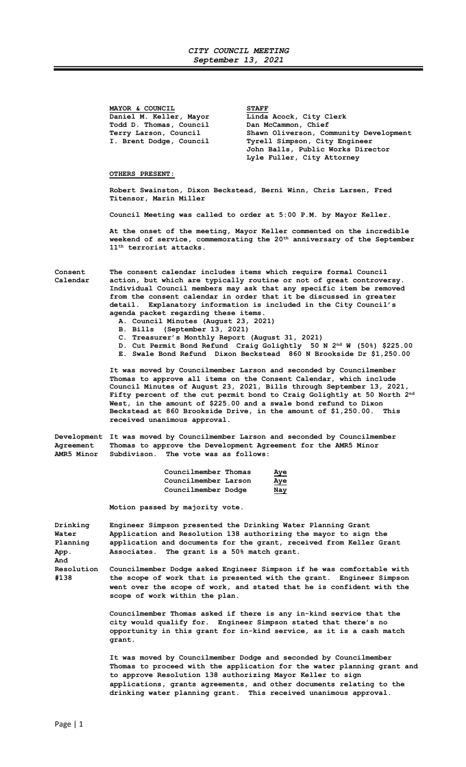MAYOR & COUNCIL<br>Daniel M. Keller, Mayor Linda Todd D. Thomas, Council Dan McCammon, Chief<br>Terry Larson, Council Shawn Oliverson, Co

Linda Acock, City Clerk Terry Larson, Council Shawn Oliverson, Community Development<br>I. Brent Dodge, Council Tyrell Simpson, City Engineer Tyrell Simpson, City Engineer John Balls, Public Works Director Lyle Fuller, City Attorney

## OTHERS PRESENT:

Robert Swainston, Dixon Beckstead, Berni Winn, Chris Larsen, Fred Titensor, Marin Miller

Council Meeting was called to order at 5:00 P.M. by Mayor Keller.

 At the onset of the meeting, Mayor Keller commented on the incredible weekend of service, commemorating the  $20^{\rm th}$  anniversary of the September 11<sup>th</sup> terrorist attacks.

Consent The consent calendar includes items which require formal Council Calendar action, but which are typically routine or not of great controversy. Individual Council members may ask that any specific item be removed from the consent calendar in order that it be discussed in greater detail. Explanatory information is included in the City Council's agenda packet regarding these items.

- A. Council Minutes (August 23, 2021)
- B. Bills (September 13, 2021)
- C. Treasurer's Monthly Report (August 31, 2021)
- D. Cut Permit Bond Refund Craig Golightly 50 N 2nd W (50%) \$225.00
- E. Swale Bond Refund Dixon Beckstead 860 N Brookside Dr \$1,250.00

 It was moved by Councilmember Larson and seconded by Councilmember Thomas to approve all items on the Consent Calendar, which include Council Minutes of August 23, 2021, Bills through September 13, 2021, Fifty percent of the cut permit bond to Craig Golightly at 50 North 2nd West, in the amount of \$225.00 and a swale bond refund to Dixon Beckstead at 860 Brookside Drive, in the amount of \$1,250.00. This received unanimous approval.

Development It was moved by Councilmember Larson and seconded by Councilmember Agreement Thomas to approve the Development Agreement for the AMR5 Minor AMR5 Minor Subdivison. The vote was as follows:

| Councilmember Thomas | Aye |
|----------------------|-----|
| Councilmember Larson | Aye |
| Councilmember Dodge  | Nay |

Motion passed by majority vote.

| Drinking                  | Engineer Simpson presented the Drinking Water Planning Grant                                                                                                                                                                                             |
|---------------------------|----------------------------------------------------------------------------------------------------------------------------------------------------------------------------------------------------------------------------------------------------------|
| Water                     | Application and Resolution 138 authorizing the mayor to sign the                                                                                                                                                                                         |
| Planning                  | application and documents for the grant, received from Keller Grant                                                                                                                                                                                      |
| App.<br>And               | Associates. The grant is a 50% match grant.                                                                                                                                                                                                              |
| <b>Resolution</b><br>#138 | Councilmember Dodge asked Engineer Simpson if he was comfortable with<br>the scope of work that is presented with the grant. Engineer Simpson<br>went over the scope of work, and stated that he is confident with the<br>scope of work within the plan. |
|                           | Councilmember Thomas asked if there is any in-kind service that the                                                                                                                                                                                      |

city would qualify for. Engineer Simpson stated that there's no opportunity in this grant for in-kind service, as it is a cash match grant.

It was moved by Councilmember Dodge and seconded by Councilmember Thomas to proceed with the application for the water planning grant and to approve Resolution 138 authorizing Mayor Keller to sign applications, grants agreements, and other documents relating to the drinking water planning grant. This received unanimous approval.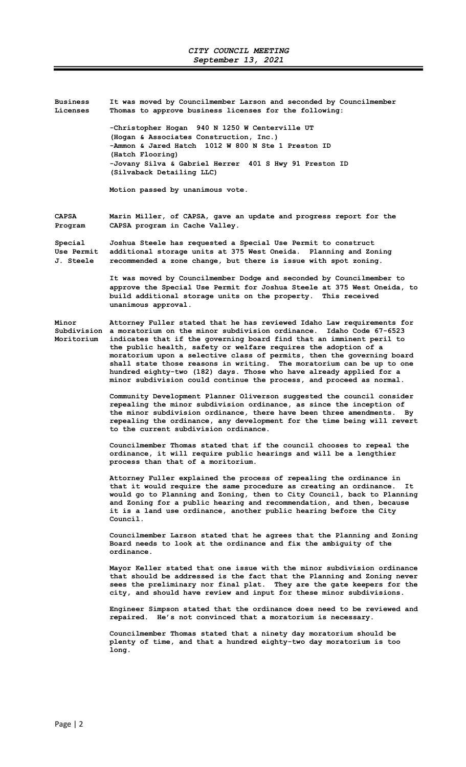| <b>Business</b><br>Licenses                      | It was moved by Councilmember Larson and seconded by Councilmember<br>Thomas to approve business licenses for the following:                                                                                                                                                                                                                                                                                                                                                                                                                                                                              |
|--------------------------------------------------|-----------------------------------------------------------------------------------------------------------------------------------------------------------------------------------------------------------------------------------------------------------------------------------------------------------------------------------------------------------------------------------------------------------------------------------------------------------------------------------------------------------------------------------------------------------------------------------------------------------|
|                                                  | -Christopher Hogan 940 N 1250 W Centerville UT<br>(Hogan & Associates Construction, Inc.)<br>-Ammon & Jared Hatch 1012 W 800 N Ste 1 Preston ID<br>(Hatch Flooring)<br>-Jovany Silva & Gabriel Herrer 401 S Hwy 91 Preston ID<br>(Silvaback Detailing LLC)                                                                                                                                                                                                                                                                                                                                                |
|                                                  | Motion passed by unanimous vote.                                                                                                                                                                                                                                                                                                                                                                                                                                                                                                                                                                          |
| <b>CAPSA</b><br>Program                          | Marin Miller, of CAPSA, gave an update and progress report for the<br>CAPSA program in Cache Valley.                                                                                                                                                                                                                                                                                                                                                                                                                                                                                                      |
| Special<br><b>Use Permit</b><br><b>J. Steele</b> | Joshua Steele has requested a Special Use Permit to construct<br>additional storage units at 375 West Oneida. Planning and Zoning<br>recommended a zone change, but there is issue with spot zoning.                                                                                                                                                                                                                                                                                                                                                                                                      |
|                                                  | It was moved by Councilmember Dodge and seconded by Councilmember to<br>approve the Special Use Permit for Joshua Steele at 375 West Oneida, to<br>build additional storage units on the property. This received<br>unanimous approval.                                                                                                                                                                                                                                                                                                                                                                   |
| Minor<br>Moritorium                              | Attorney Fuller stated that he has reviewed Idaho Law requirements for<br>Subdivision a moratorium on the minor subdivision ordinance.<br>Idaho Code 67-6523<br>indicates that if the governing board find that an imminent peril to<br>the public health, safety or welfare requires the adoption of a<br>moratorium upon a selective class of permits, then the governing board<br>shall state those reasons in writing. The moratorium can be up to one<br>hundred eighty-two (182) days. Those who have already applied for a<br>minor subdivision could continue the process, and proceed as normal. |
|                                                  | Community Development Planner Oliverson suggested the council consider<br>repealing the minor subdivision ordinance, as since the inception of<br>the minor subdivision ordinance, there have been three amendments.<br>Bv<br>repealing the ordinance, any development for the time being will revert<br>to the current subdivision ordinance.                                                                                                                                                                                                                                                            |

 Councilmember Thomas stated that if the council chooses to repeal the ordinance, it will require public hearings and will be a lengthier process than that of a moritorium.

 Attorney Fuller explained the process of repealing the ordinance in that it would require the same procedure as creating an ordinance. It would go to Planning and Zoning, then to City Council, back to Planning and Zoning for a public hearing and recommendation, and then, because it is a land use ordinance, another public hearing before the City Council.

 Councilmember Larson stated that he agrees that the Planning and Zoning Board needs to look at the ordinance and fix the ambiguity of the ordinance.

Mayor Keller stated that one issue with the minor subdivision ordinance that should be addressed is the fact that the Planning and Zoning never sees the preliminary nor final plat. They are the gate keepers for the city, and should have review and input for these minor subdivisions.

 Engineer Simpson stated that the ordinance does need to be reviewed and repaired. He's not convinced that a moratorium is necessary.

 Councilmember Thomas stated that a ninety day moratorium should be plenty of time, and that a hundred eighty-two day moratorium is too long.